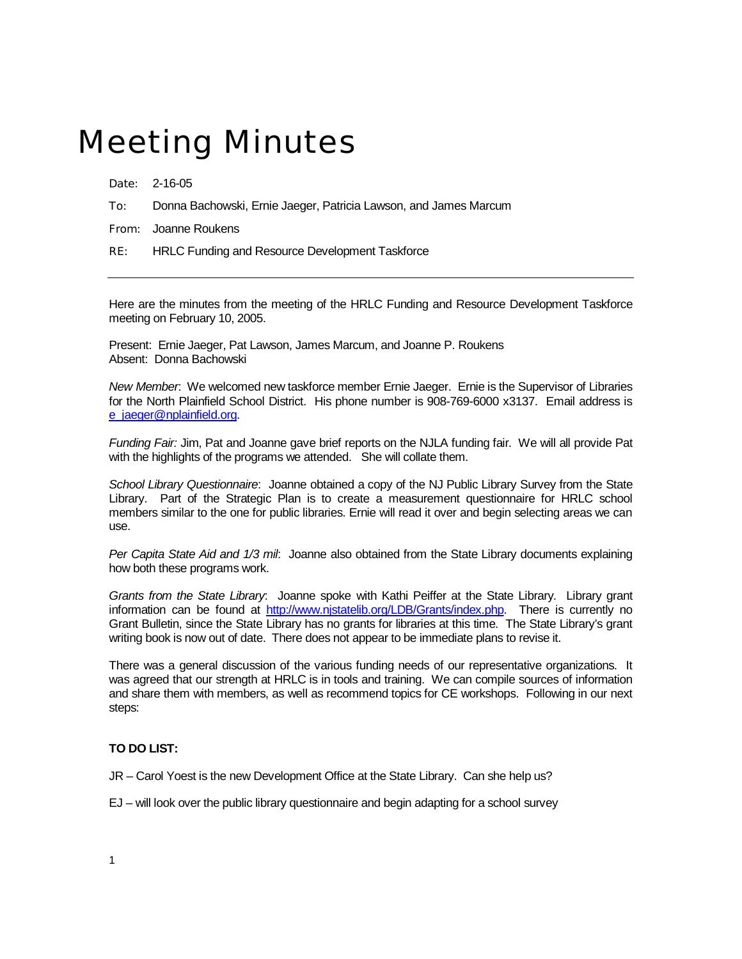## Meeting Minutes

Date: 2-16-05

To: Donna Bachowski, Ernie Jaeger, Patricia Lawson, and James Marcum

From: Joanne Roukens

RE: HRLC Funding and Resource Development Taskforce

Here are the minutes from the meeting of the HRLC Funding and Resource Development Taskforce meeting on February 10, 2005.

Present: Ernie Jaeger, Pat Lawson, James Marcum, and Joanne P. Roukens Absent: Donna Bachowski

*New Member*: We welcomed new taskforce member Ernie Jaeger. Ernie is the Supervisor of Libraries for the North Plainfield School District. His phone number is 908-769-6000 x3137. Email address is [e\\_jaeger@nplainfield.org](mailto:e_jaeger@nplainfield.org)

*Funding Fair:* Jim, Pat and Joanne gave brief reports on the NJLA funding fair. We will all provide Pat with the highlights of the programs we attended. She will collate them.

*School Library Questionnaire*: Joanne obtained a copy of the NJ Public Library Survey from the State Library. Part of the Strategic Plan is to create a measurement questionnaire for HRLC school members similar to the one for public libraries. Ernie will read it over and begin selecting areas we can use.

*Per Capita State Aid and 1/3 mil*: Joanne also obtained from the State Library documents explaining how both these programs work.

*Grants from the State Library*: Joanne spoke with Kathi Peiffer at the State Library. Library grant information can be found at [http://www.njstatelib.org/LDB/Grants/index.php.](http://www.njstatelib.org/LDB/Grants/index.php) There is currently no Grant Bulletin, since the State Library has no grants for libraries at this time. The State Library's grant writing book is now out of date. There does not appear to be immediate plans to revise it.

There was a general discussion of the various funding needs of our representative organizations. It was agreed that our strength at HRLC is in tools and training. We can compile sources of information and share them with members, as well as recommend topics for CE workshops. Following in our next steps:

## **TO DO LIST:**

JR – Carol Yoest is the new Development Office at the State Library. Can she help us?

EJ – will look over the public library questionnaire and begin adapting for a school survey